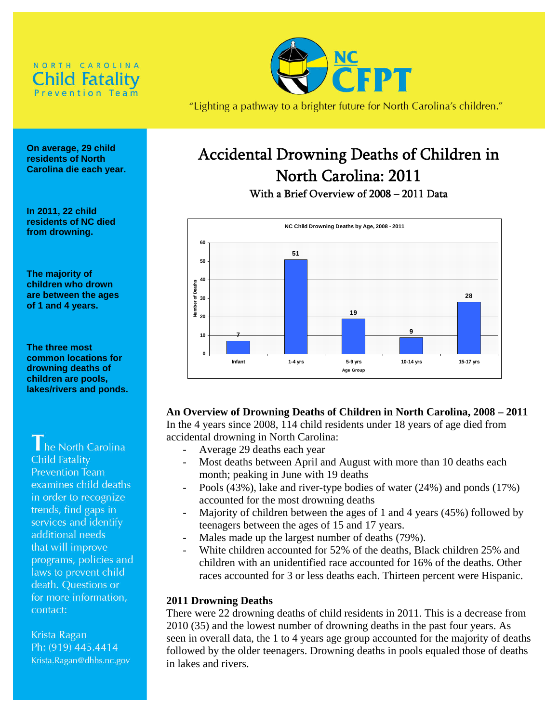



"Lighting a pathway to a brighter future for North Carolina's children."

# Accidental Drowning Deaths of Children in North Carolina: 2011

With a Brief Overview of 2008 – 2011 Data



# **An Overview of Drowning Deaths of Children in North Carolina, 2008 – 2011**

In the 4 years since 2008, 114 child residents under 18 years of age died from accidental drowning in North Carolina:

- Average 29 deaths each year
- Most deaths between April and August with more than 10 deaths each month; peaking in June with 19 deaths
- Pools (43%), lake and river-type bodies of water (24%) and ponds (17%) accounted for the most drowning deaths
- Majority of children between the ages of 1 and 4 years (45%) followed by teenagers between the ages of 15 and 17 years.
- Males made up the largest number of deaths (79%).
- White children accounted for 52% of the deaths, Black children 25% and children with an unidentified race accounted for 16% of the deaths. Other races accounted for 3 or less deaths each. Thirteen percent were Hispanic.

## **2011 Drowning Deaths**

There were 22 drowning deaths of child residents in 2011. This is a decrease from 2010 (35) and the lowest number of drowning deaths in the past four years. As seen in overall data, the 1 to 4 years age group accounted for the majority of deaths followed by the older teenagers. Drowning deaths in pools equaled those of deaths in lakes and rivers.

**On average, 29 child residents of North Carolina die each year.** 

**In 2011, 22 child residents of NC died from drowning.**

**The majority of children who drown are between the ages of 1 and 4 years.** 

**The three most common locations for drowning deaths of children are pools, lakes/rivers and ponds.** 

he North Carolina **Child Fatality** Prevention Team examines child deaths in order to recognize trends, find gaps in services and identify additional needs that will improve programs, policies and laws to prevent child death. Questions or for more information, contact:

Krista Ragan Ph: (919) 445.4414 Krista.Ragan@dhhs.nc.gov